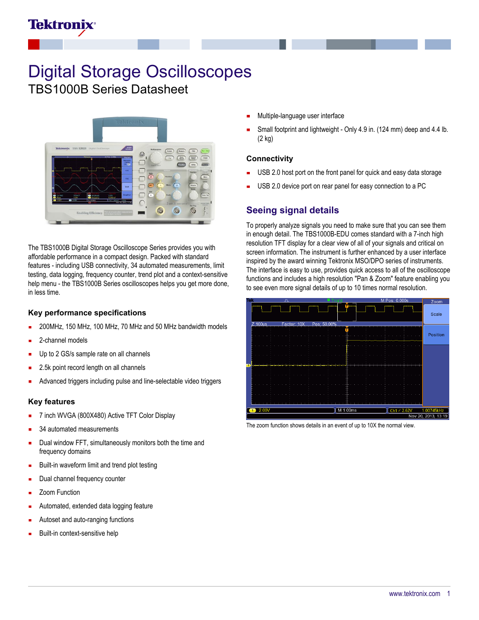## **Tektronix**

# Digital Storage Oscilloscopes

TBS1000B Series Datasheet



The TBS1000B Digital Storage Oscilloscope Series provides you with affordable performance in a compact design. Packed with standard features - including USB connectivity, 34 automated measurements, limit testing, data logging, frequency counter, trend plot and a context-sensitive help menu - the TBS1000B Series oscilloscopes helps you get more done, in less time.

#### **Key performance specifications**

- 200MHz, 150 MHz, 100 MHz, 70 MHz and 50 MHz bandwidth models
- 2-channel models
- Up to 2 GS/s sample rate on all channels
- 2.5k point record length on all channels
- Advanced triggers including pulse and line-selectable video triggers

#### **Key features**

- 7 inch WVGA (800X480) Active TFT Color Display
- 34 automated measurements
- Dual window FFT, simultaneously monitors both the time and frequency domains
- Built-in waveform limit and trend plot testing
- Dual channel frequency counter
- Zoom Function
- Automated, extended data logging feature
- Autoset and auto-ranging functions
- Built-in context-sensitive help
- Multiple-language user interface
- Small footprint and lightweight Only 4.9 in. (124 mm) deep and 4.4 lb. (2 kg)

#### **Connectivity**

- USB 2.0 host port on the front panel for quick and easy data storage
- USB 2.0 device port on rear panel for easy connection to a PC

## **Seeing signal details**

To properly analyze signals you need to make sure that you can see them in enough detail. The TBS1000B-EDU comes standard with a 7-inch high resolution TFT display for a clear view of all of your signals and critical on screen information. The instrument is further enhanced by a user interface inspired by the award winning Tektronix MSO/DPO series of instruments. The interface is easy to use, provides quick access to all of the oscilloscope functions and includes a high resolution "Pan & Zoom" feature enabling you to see even more signal details of up to 10 times normal resolution.



The zoom function shows details in an event of up to 10X the normal view.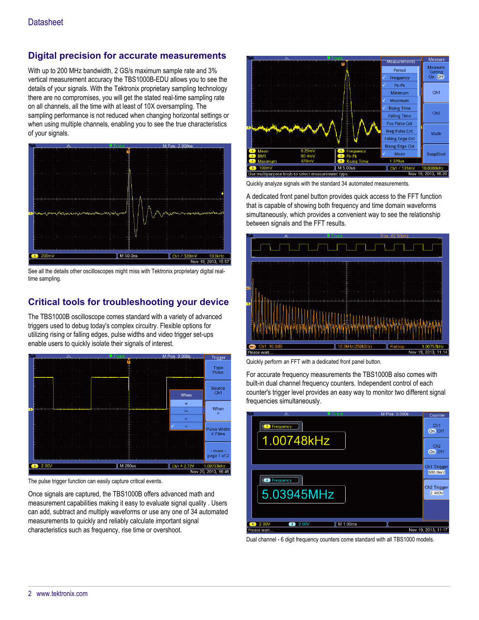## **Digital precision for accurate measurements**

With up to 200 MHz bandwidth, 2 GS/s maximum sample rate and 3% vertical measurement accuracy the TBS1000B-EDU allows you to see the details of your signals. With the Tektronix proprietary sampling technology there are no compromises, you will get the stated real-time sampling rate on all channels, all the time with at least of 10X oversampling. The sampling performance is not reduced when changing horizontal settings or when using multiple channels, enabling you to see the true characteristics of your signals.



See all the details other oscilloscopes might miss with Tektronix proprietary digital realtime sampling.

## **Critical tools for troubleshooting your device**

The TBS1000B oscilloscope comes standard with a variety of advanced triggers used to debug today's complex circuitry. Flexible options for utilizing rising or falling edges, pulse widths and video trigger set-ups enable users to quickly isolate their signals of interest.



The pulse trigger function can easily capture critical events.

Once signals are captured, the TBS1000B offers advanced math and measurement capabilities making it easy to evaluate signal quality . Users can add, subtract and multiply waveforms or use any one of 34 automated measurements to quickly and reliably calculate important signal characteristics such as frequency, rise time or overshoot.



Quickly analyze signals with the standard 34 automated measurements.

A dedicated front panel button provides quick access to the FFT function that is capable of showing both frequency and time domain waveforms simultaneously, which provides a convenient way to see the relationship between signals and the FFT results.



Quickly perform an FFT with a dedicated front panel button.

For accurate frequency measurements the TBS1000B also comes with built-in dual channel frequency counters. Independent control of each counter's trigger level provides an easy way to monitor two different signal frequencies simultaneously.



Dual channel - 6 digit frequency counters come standard with all TBS1000 models.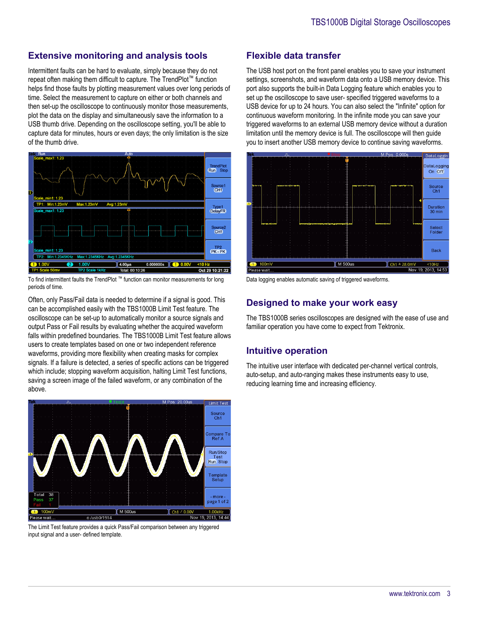## **Extensive monitoring and analysis tools**

Intermittent faults can be hard to evaluate, simply because they do not repeat often making them difficult to capture. The TrendPlot™ function helps find those faults by plotting measurement values over long periods of time. Select the measurement to capture on either or both channels and then set-up the oscilloscope to continuously monitor those measurements, plot the data on the display and simultaneously save the information to a USB thumb drive. Depending on the oscilloscope setting, you'll be able to capture data for minutes, hours or even days; the only limitation is the size of the thumb drive.



To find intermittent faults the TrendPlot ™ function can monitor measurements for long periods of time.

Often, only Pass/Fail data is needed to determine if a signal is good. This can be accomplished easily with the TBS1000B Limit Test feature. The oscilloscope can be set-up to automatically monitor a source signals and output Pass or Fail results by evaluating whether the acquired waveform falls within predefined boundaries. The TBS1000B Limit Test feature allows users to create templates based on one or two independent reference waveforms, providing more flexibility when creating masks for complex signals. If a failure is detected, a series of specific actions can be triggered which include; stopping waveform acquisition, halting Limit Test functions, saving a screen image of the failed waveform, or any combination of the above.



The Limit Test feature provides a quick Pass/Fail comparison between any triggered input signal and a user- defined template.

## **Flexible data transfer**

The USB host port on the front panel enables you to save your instrument settings, screenshots, and waveform data onto a USB memory device. This port also supports the built-in Data Logging feature which enables you to set up the oscilloscope to save user- specified triggered waveforms to a USB device for up to 24 hours. You can also select the "Infinite" option for continuous waveform monitoring. In the infinite mode you can save your triggered waveforms to an external USB memory device without a duration limitation until the memory device is full. The oscilloscope will then guide you to insert another USB memory device to continue saving waveforms.



Data logging enables automatic saving of triggered waveforms.

## **Designed to make your work easy**

The TBS1000B series oscilloscopes are designed with the ease of use and familiar operation you have come to expect from Tektronix.

### **Intuitive operation**

The intuitive user interface with dedicated per-channel vertical controls, auto-setup, and auto-ranging makes these instruments easy to use, reducing learning time and increasing efficiency.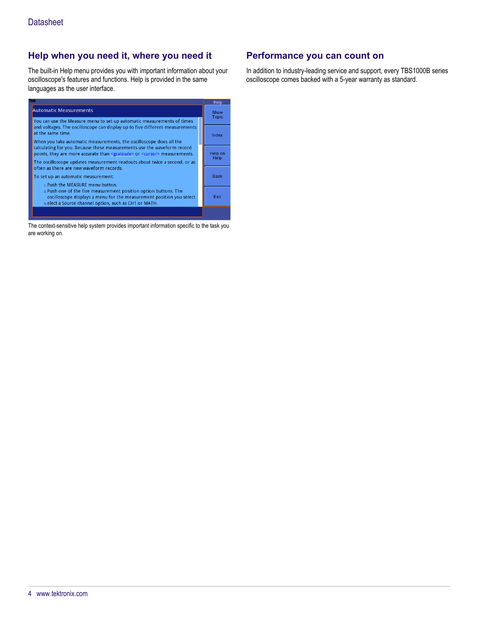## **Help when you need it, where you need it**

The built-in Help menu provides you with important information about your oscilloscope's features and functions. Help is provided in the same languages as the user interface.



The context-sensitive help system provides important information specific to the task you are working on.

## **Performance you can count on**

In addition to industry-leading service and support, every TBS1000B series oscilloscope comes backed with a 5-year warranty as standard.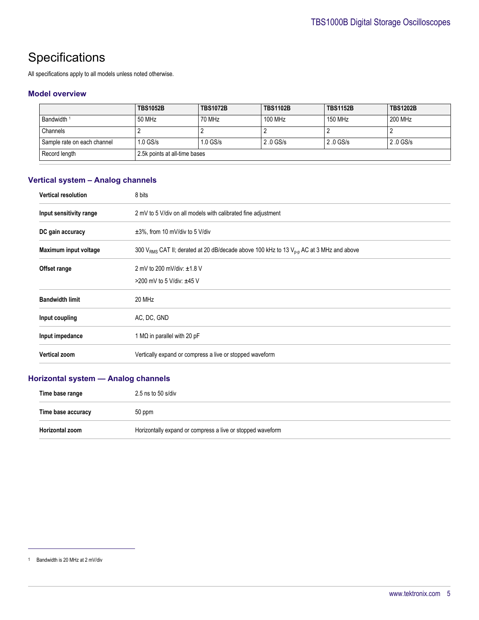## **Specifications**

All specifications apply to all models unless noted otherwise.

#### **Model overview**

|                             | <b>TBS1052B</b>               | <b>TBS1072B</b> | <b>TBS1102B</b> | <b>TBS1152B</b> | <b>TBS1202B</b> |
|-----------------------------|-------------------------------|-----------------|-----------------|-----------------|-----------------|
| Bandwidth <sup>1</sup>      | 50 MHz                        | 70 MHz          | 100 MHz         | <b>150 MHz</b>  | 200 MHz         |
| Channels                    |                               |                 |                 |                 |                 |
| Sample rate on each channel | $1.0$ GS/s                    | $1.0$ GS/s      | 2.0 GS/s        | 2.0 GS/s        | 2.0 GS/s        |
| Record length               | 2.5k points at all-time bases |                 |                 |                 |                 |

## **Vertical system – Analog channels**

| <b>Vertical resolution</b> | 8 bits                                                                                                          |  |  |
|----------------------------|-----------------------------------------------------------------------------------------------------------------|--|--|
| Input sensitivity range    | 2 mV to 5 V/div on all models with calibrated fine adjustment                                                   |  |  |
| DC gain accuracy           | $\pm 3\%$ , from 10 mV/div to 5 V/div                                                                           |  |  |
| Maximum input voltage      | 300 V <sub>RMS</sub> CAT II; derated at 20 dB/decade above 100 kHz to 13 V <sub>p-p</sub> AC at 3 MHz and above |  |  |
| Offset range               | 2 mV to 200 mV/div: ±1.8 V                                                                                      |  |  |
|                            | >200 mV to 5 V/div: $±45$ V                                                                                     |  |  |
| <b>Bandwidth limit</b>     | 20 MHz                                                                                                          |  |  |
| Input coupling             | AC, DC, GND                                                                                                     |  |  |
| Input impedance            | 1 M $\Omega$ in parallel with 20 pF                                                                             |  |  |
| <b>Vertical zoom</b>       | Vertically expand or compress a live or stopped waveform                                                        |  |  |

## **Horizontal system — Analog channels**

| Time base range    | $2.5$ ns to $50$ s/div                                     |  |
|--------------------|------------------------------------------------------------|--|
| Time base accuracy | 50 ppm                                                     |  |
| Horizontal zoom    | Horizontally expand or compress a live or stopped waveform |  |

<sup>1</sup> Bandwidth is 20 MHz at 2 mV/div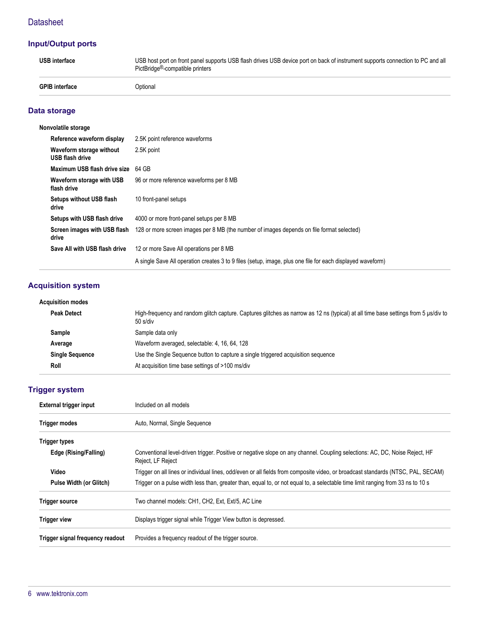## **Datasheet**

## **Input/Output ports**

| <b>USB</b> interface  | USB host port on front panel supports USB flash drives USB device port on back of instrument supports connection to PC and all<br>PictBridge <sup>®</sup> -compatible printers |
|-----------------------|--------------------------------------------------------------------------------------------------------------------------------------------------------------------------------|
| <b>GPIB</b> interface | <b>Optional</b>                                                                                                                                                                |

## **Data storage**

| Nonvolatile storage                         |                                                                                                            |  |
|---------------------------------------------|------------------------------------------------------------------------------------------------------------|--|
| Reference waveform display                  | 2.5K point reference waveforms                                                                             |  |
| Waveform storage without<br>USB flash drive | 2.5K point                                                                                                 |  |
| Maximum USB flash drive size                | 64 GB                                                                                                      |  |
| Waveform storage with USB<br>flash drive    | 96 or more reference waveforms per 8 MB                                                                    |  |
| Setups without USB flash<br>drive           | 10 front-panel setups                                                                                      |  |
| Setups with USB flash drive                 | 4000 or more front-panel setups per 8 MB                                                                   |  |
| Screen images with USB flash<br>drive       | 128 or more screen images per 8 MB (the number of images depends on file format selected)                  |  |
| Save All with USB flash drive               | 12 or more Save All operations per 8 MB                                                                    |  |
|                                             | A single Save All operation creates 3 to 9 files (setup, image, plus one file for each displayed waveform) |  |

## **Acquisition system**

| High-frequency and random glitch capture. Captures glitches as narrow as 12 ns (typical) at all time base settings from 5 µs/div to<br>50 s/div |
|-------------------------------------------------------------------------------------------------------------------------------------------------|
| Sample data only                                                                                                                                |
| Waveform averaged, selectable: 4, 16, 64, 128                                                                                                   |
| Use the Single Sequence button to capture a single triggered acquisition sequence                                                               |
| At acquisition time base settings of >100 ms/div                                                                                                |
| <b>Acquisition modes</b><br><b>Peak Detect</b><br>Sample<br>Average<br><b>Single Sequence</b><br>Roll                                           |

## **Trigger system**

| External trigger input           | Included on all models                                                                                                                           |  |  |
|----------------------------------|--------------------------------------------------------------------------------------------------------------------------------------------------|--|--|
| <b>Trigger modes</b>             | Auto, Normal, Single Sequence                                                                                                                    |  |  |
| <b>Trigger types</b>             |                                                                                                                                                  |  |  |
| Edge (Rising/Falling)            | Conventional level-driven trigger. Positive or negative slope on any channel. Coupling selections: AC, DC, Noise Reject, HF<br>Reject, LF Reject |  |  |
| Video                            | Trigger on all lines or individual lines, odd/even or all fields from composite video, or broadcast standards (NTSC, PAL, SECAM)                 |  |  |
| Pulse Width (or Glitch)          | Trigger on a pulse width less than, greater than, equal to, or not equal to, a selectable time limit ranging from 33 ns to 10 s                  |  |  |
| <b>Trigger source</b>            | Two channel models: CH1, CH2, Ext, Ext/5, AC Line                                                                                                |  |  |
| <b>Trigger view</b>              | Displays trigger signal while Trigger View button is depressed.                                                                                  |  |  |
| Trigger signal frequency readout | Provides a frequency readout of the trigger source.                                                                                              |  |  |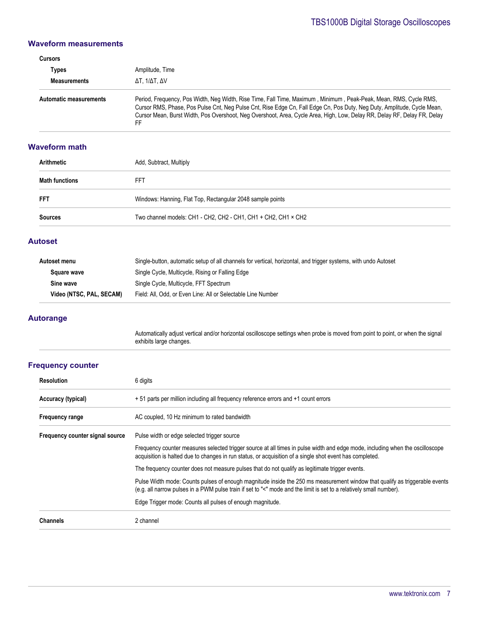#### **Waveform measurements**

| <b>Cursors</b>                |                                                                                                                                                                                                                                                                                                                                                                                |  |  |
|-------------------------------|--------------------------------------------------------------------------------------------------------------------------------------------------------------------------------------------------------------------------------------------------------------------------------------------------------------------------------------------------------------------------------|--|--|
| Types                         | Amplitude, Time                                                                                                                                                                                                                                                                                                                                                                |  |  |
| <b>Measurements</b>           | ΔΤ. 1/ΔΤ. ΔV                                                                                                                                                                                                                                                                                                                                                                   |  |  |
| <b>Automatic measurements</b> | Period, Frequency, Pos Width, Neq Width, Rise Time, Fall Time, Maximum, Minimum, Peak-Peak, Mean, RMS, Cycle RMS,<br>Cursor RMS, Phase, Pos Pulse Cnt, Neg Pulse Cnt, Rise Edge Cn, Fall Edge Cn, Pos Duty, Neg Duty, Amplitude, Cycle Mean,<br>Cursor Mean, Burst Width, Pos Overshoot, Neg Overshoot, Area, Cycle Area, High, Low, Delay RR, Delay RF, Delay FR, Delay<br>FF |  |  |

#### **Waveform math**

| Arithmetic            | Add, Subtract, Multiply                                        |  |
|-----------------------|----------------------------------------------------------------|--|
| <b>Math functions</b> | FFT                                                            |  |
| <b>FFT</b>            | Windows: Hanning, Flat Top, Rectangular 2048 sample points     |  |
| <b>Sources</b>        | Two channel models: CH1 - CH2, CH2 - CH1, CH1 + CH2, CH1 × CH2 |  |

#### **Autoset**

| Autoset menu             | Single-button, automatic setup of all channels for vertical, horizontal, and trigger systems, with undo Autoset |
|--------------------------|-----------------------------------------------------------------------------------------------------------------|
| Square wave              | Single Cycle, Multicycle, Rising or Falling Edge                                                                |
| Sine wave                | Single Cycle, Multicycle, FFT Spectrum                                                                          |
| Video (NTSC, PAL, SECAM) | Field: All, Odd, or Even Line: All or Selectable Line Number                                                    |

#### **Autorange**

Automatically adjust vertical and/or horizontal oscilloscope settings when probe is moved from point to point, or when the signal exhibits large changes.

#### **Frequency counter**

| <b>Resolution</b>               | 6 digits                                                                                                                                                                                                                                           |  |  |
|---------------------------------|----------------------------------------------------------------------------------------------------------------------------------------------------------------------------------------------------------------------------------------------------|--|--|
| Accuracy (typical)              | + 51 parts per million including all frequency reference errors and +1 count errors                                                                                                                                                                |  |  |
| <b>Frequency range</b>          | AC coupled, 10 Hz minimum to rated bandwidth                                                                                                                                                                                                       |  |  |
| Frequency counter signal source | Pulse width or edge selected trigger source                                                                                                                                                                                                        |  |  |
|                                 | Frequency counter measures selected trigger source at all times in pulse width and edge mode, including when the oscilloscope<br>acquisition is halted due to changes in run status, or acquisition of a single shot event has completed.          |  |  |
|                                 | The frequency counter does not measure pulses that do not qualify as legitimate trigger events.                                                                                                                                                    |  |  |
|                                 | Pulse Width mode: Counts pulses of enough magnitude inside the 250 ms measurement window that qualify as triggerable events<br>(e.g. all narrow pulses in a PWM pulse train if set to "<" mode and the limit is set to a relatively small number). |  |  |
|                                 | Edge Trigger mode: Counts all pulses of enough magnitude.                                                                                                                                                                                          |  |  |
| <b>Channels</b>                 | 2 channel                                                                                                                                                                                                                                          |  |  |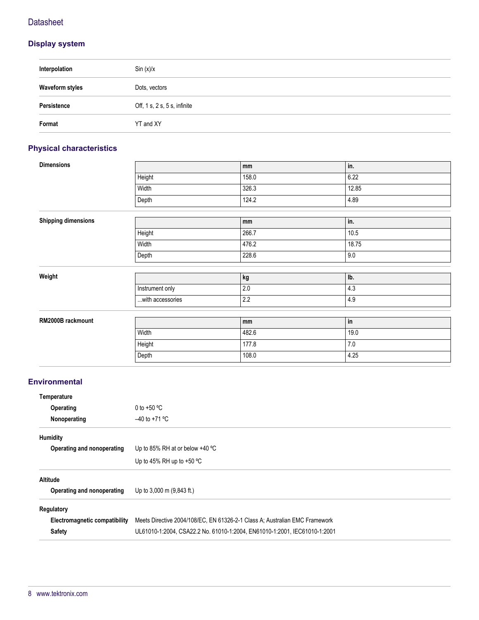## **Datasheet**

## **Display system**

| Interpolation          | Sin(x)/x                     |
|------------------------|------------------------------|
| <b>Waveform styles</b> | Dots, vectors                |
| Persistence            | Off, 1 s, 2 s, 5 s, infinite |
| Format                 | YT and XY                    |

## **Physical characteristics**

| <b>Dimensions</b>          |                  | mm    | in.   |  |
|----------------------------|------------------|-------|-------|--|
|                            | Height           | 158.0 | 6.22  |  |
|                            | Width            | 326.3 | 12.85 |  |
|                            | Depth            | 124.2 | 4.89  |  |
|                            |                  |       |       |  |
| <b>Shipping dimensions</b> |                  | mm    | in.   |  |
|                            | Height           | 266.7 | 10.5  |  |
|                            | Width            | 476.2 | 18.75 |  |
|                            | Depth            | 228.6 | 9.0   |  |
|                            |                  |       |       |  |
| Weight                     |                  | kg    | Ib.   |  |
|                            | Instrument only  | 2.0   | 4.3   |  |
|                            | with accessories | 2.2   | 4.9   |  |
|                            |                  |       |       |  |
| RM2000B rackmount          |                  | mm    | in    |  |
|                            | Width            | 482.6 | 19.0  |  |
|                            | Height           | 177.8 | $7.0$ |  |
|                            | Depth            | 108.0 | 4.25  |  |
|                            |                  |       |       |  |

## **Environmental**

| Temperature                   |                                                                             |  |
|-------------------------------|-----------------------------------------------------------------------------|--|
| Operating                     | 0 to +50 $\degree$ C                                                        |  |
| Nonoperating                  | $-40$ to +71 °C                                                             |  |
| Humidity                      |                                                                             |  |
| Operating and nonoperating    | Up to 85% RH at or below $+40$ °C                                           |  |
|                               | Up to 45% RH up to $+50$ °C                                                 |  |
| <b>Altitude</b>               |                                                                             |  |
| Operating and nonoperating    | Up to 3,000 m (9,843 ft.)                                                   |  |
| Regulatory                    |                                                                             |  |
| Electromagnetic compatibility | Meets Directive 2004/108/EC, EN 61326-2-1 Class A: Australian EMC Framework |  |
| <b>Safety</b>                 | UL61010-1:2004, CSA22.2 No. 61010-1:2004, EN61010-1:2001, IEC61010-1:2001   |  |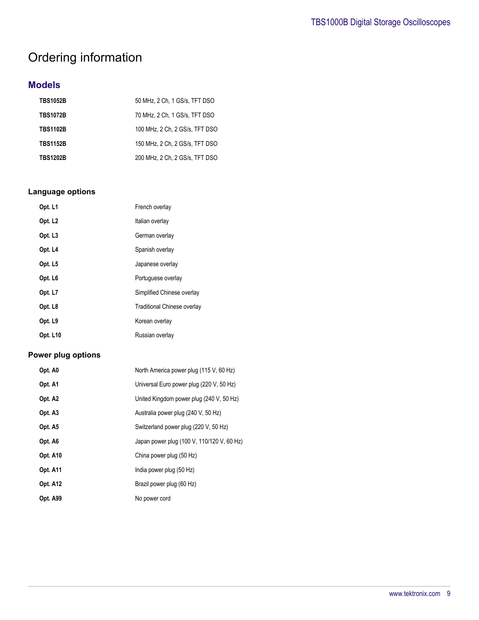## Ordering information

## **Models**

| <b>TBS1052B</b> | 50 MHz. 2 Ch. 1 GS/s. TFT DSO  |
|-----------------|--------------------------------|
| <b>TBS1072B</b> | 70 MHz, 2 Ch, 1 GS/s, TFT DSO  |
| <b>TBS1102B</b> | 100 MHz. 2 Ch. 2 GS/s. TFT DSO |
| <b>TBS1152B</b> | 150 MHz. 2 Ch. 2 GS/s. TFT DSO |
| <b>TBS1202B</b> | 200 MHz. 2 Ch. 2 GS/s. TFT DSO |

## **Language options**

| Opt. L1             | French overlay              |
|---------------------|-----------------------------|
| Opt. L <sub>2</sub> | Italian overlay             |
| Opt. L <sub>3</sub> | German overlay              |
| Opt. L4             | Spanish overlay             |
| Opt. L5             | Japanese overlay            |
| Opt. L <sub>6</sub> | Portuguese overlay          |
| Opt. L7             | Simplified Chinese overlay  |
| Opt. L8             | Traditional Chinese overlay |
| Opt. L9             | Korean overlay              |
| <b>Opt. L10</b>     | Russian overlay             |

## **Power plug options**

| Opt. A0             | North America power plug (115 V, 60 Hz)    |
|---------------------|--------------------------------------------|
| Opt. A1             | Universal Euro power plug (220 V, 50 Hz)   |
| Opt. A <sub>2</sub> | United Kingdom power plug (240 V, 50 Hz)   |
| Opt. A3             | Australia power plug (240 V, 50 Hz)        |
| Opt. A5             | Switzerland power plug (220 V, 50 Hz)      |
| Opt. A6             | Japan power plug (100 V, 110/120 V, 60 Hz) |
| <b>Opt. A10</b>     | China power plug (50 Hz)                   |
| <b>Opt. A11</b>     | India power plug (50 Hz)                   |
| <b>Opt. A12</b>     | Brazil power plug (60 Hz)                  |
| Opt. A99            | No power cord                              |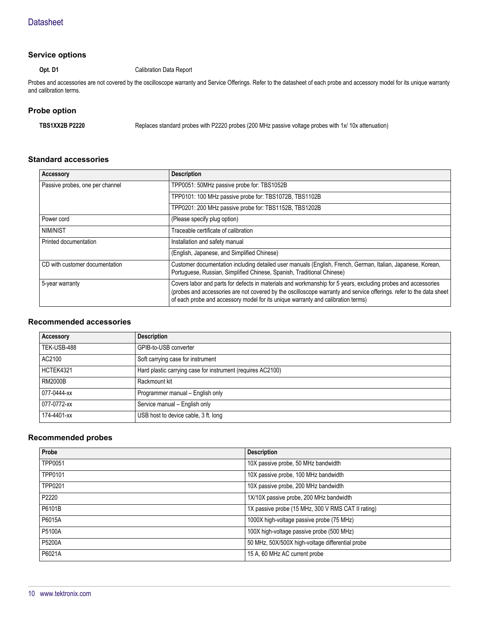#### **Service options**

#### **Opt. D1** Calibration Data Report

Probes and accessories are not covered by the oscilloscope warranty and Service Offerings. Refer to the datasheet of each probe and accessory model for its unique warranty and calibration terms.

#### **Probe option**

**TBS1XX2B P2220** Replaces standard probes with P2220 probes (200 MHz passive voltage probes with 1x/ 10x attenuation)

#### **Standard accessories**

| Accessory                       | <b>Description</b>                                                                                                                                                                                                                                                                                                       |
|---------------------------------|--------------------------------------------------------------------------------------------------------------------------------------------------------------------------------------------------------------------------------------------------------------------------------------------------------------------------|
| Passive probes, one per channel | TPP0051: 50MHz passive probe for: TBS1052B                                                                                                                                                                                                                                                                               |
|                                 | TPP0101: 100 MHz passive probe for: TBS1072B, TBS1102B                                                                                                                                                                                                                                                                   |
|                                 | TPP0201: 200 MHz passive probe for: TBS1152B, TBS1202B                                                                                                                                                                                                                                                                   |
| Power cord                      | (Please specify plug option)                                                                                                                                                                                                                                                                                             |
| NIM/NIST                        | Traceable certificate of calibration                                                                                                                                                                                                                                                                                     |
| Printed documentation           | Installation and safety manual                                                                                                                                                                                                                                                                                           |
|                                 | (English, Japanese, and Simplified Chinese)                                                                                                                                                                                                                                                                              |
| CD with customer documentation  | Customer documentation including detailed user manuals (English, French, German, Italian, Japanese, Korean,<br>Portuguese, Russian, Simplified Chinese, Spanish, Traditional Chinese)                                                                                                                                    |
| 5-year warranty                 | Covers labor and parts for defects in materials and workmanship for 5 years, excluding probes and accessories<br>(probes and accessories are not covered by the oscilloscope warranty and service offerings. refer to the data sheet<br>of each probe and accessory model for its unique warranty and calibration terms) |

### **Recommended accessories**

| Accessory      | <b>Description</b>                                          |
|----------------|-------------------------------------------------------------|
| TEK-USB-488    | GPIB-to-USB converter                                       |
| AC2100         | Soft carrying case for instrument                           |
| HCTEK4321      | Hard plastic carrying case for instrument (requires AC2100) |
| <b>RM2000B</b> | Rackmount kit                                               |
| 077-0444-xx    | Programmer manual - English only                            |
| 077-0772-xx    | Service manual - English only                               |
| 174-4401-xx    | USB host to device cable, 3 ft. long                        |

#### **Recommended probes**

| Probe   | <b>Description</b>                                 |
|---------|----------------------------------------------------|
| TPP0051 | 10X passive probe, 50 MHz bandwidth                |
| TPP0101 | 10X passive probe, 100 MHz bandwidth               |
| TPP0201 | 10X passive probe, 200 MHz bandwidth               |
| P2220   | 1X/10X passive probe, 200 MHz bandwidth            |
| P6101B  | 1X passive probe (15 MHz, 300 V RMS CAT II rating) |
| P6015A  | 1000X high-voltage passive probe (75 MHz)          |
| P5100A  | 100X high-voltage passive probe (500 MHz)          |
| P5200A  | 50 MHz, 50X/500X high-voltage differential probe   |
| P6021A  | 15 A, 60 MHz AC current probe                      |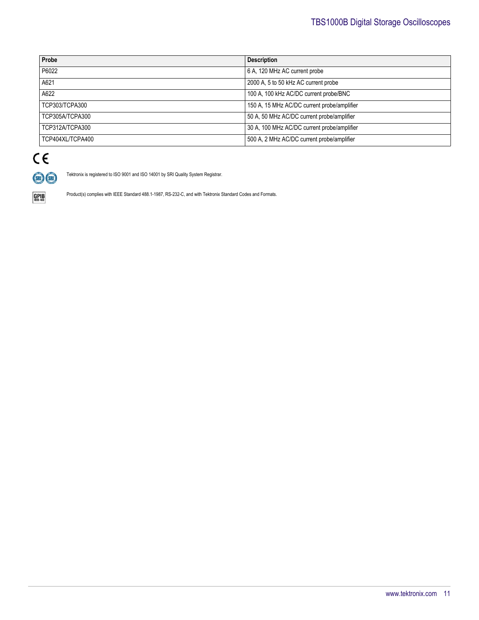| Probe            | <b>Description</b>                          |
|------------------|---------------------------------------------|
| P6022            | 6 A, 120 MHz AC current probe               |
| A621             | 2000 A, 5 to 50 kHz AC current probe        |
| A622             | 100 A, 100 kHz AC/DC current probe/BNC      |
| TCP303/TCPA300   | 150 A, 15 MHz AC/DC current probe/amplifier |
| TCP305A/TCPA300  | 50 A, 50 MHz AC/DC current probe/amplifier  |
| TCP312A/TCPA300  | 30 A, 100 MHz AC/DC current probe/amplifier |
| TCP404XL/TCPA400 | 500 A, 2 MHz AC/DC current probe/amplifier  |



Tektronix is registered to ISO 9001 and ISO 14001 by SRI Quality System Registrar.

 $\underset{\text{IEEE-488}}{\text{GPIB}}$ 

Product(s) complies with IEEE Standard 488.1-1987, RS-232-C, and with Tektronix Standard Codes and Formats.